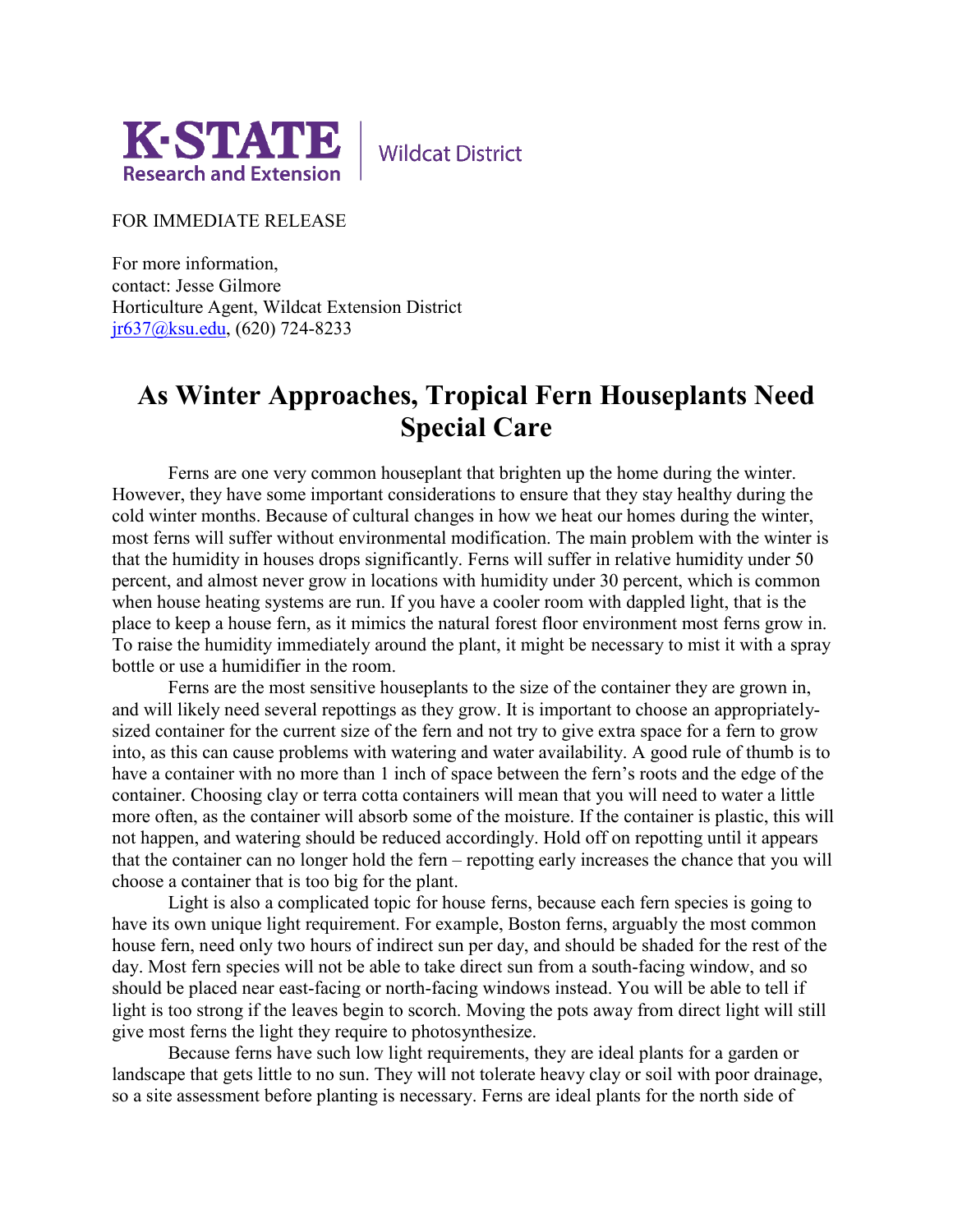

**Wildcat District** 

FOR IMMEDIATE RELEASE

For more information, contact: Jesse Gilmore Horticulture Agent, Wildcat Extension District [jr637@ksu.edu,](mailto:jr637@ksu.edu) (620) 724-8233

## **As Winter Approaches, Tropical Fern Houseplants Need Special Care**

Ferns are one very common houseplant that brighten up the home during the winter. However, they have some important considerations to ensure that they stay healthy during the cold winter months. Because of cultural changes in how we heat our homes during the winter, most ferns will suffer without environmental modification. The main problem with the winter is that the humidity in houses drops significantly. Ferns will suffer in relative humidity under 50 percent, and almost never grow in locations with humidity under 30 percent, which is common when house heating systems are run. If you have a cooler room with dappled light, that is the place to keep a house fern, as it mimics the natural forest floor environment most ferns grow in. To raise the humidity immediately around the plant, it might be necessary to mist it with a spray bottle or use a humidifier in the room.

Ferns are the most sensitive houseplants to the size of the container they are grown in, and will likely need several repottings as they grow. It is important to choose an appropriatelysized container for the current size of the fern and not try to give extra space for a fern to grow into, as this can cause problems with watering and water availability. A good rule of thumb is to have a container with no more than 1 inch of space between the fern's roots and the edge of the container. Choosing clay or terra cotta containers will mean that you will need to water a little more often, as the container will absorb some of the moisture. If the container is plastic, this will not happen, and watering should be reduced accordingly. Hold off on repotting until it appears that the container can no longer hold the fern – repotting early increases the chance that you will choose a container that is too big for the plant.

Light is also a complicated topic for house ferns, because each fern species is going to have its own unique light requirement. For example, Boston ferns, arguably the most common house fern, need only two hours of indirect sun per day, and should be shaded for the rest of the day. Most fern species will not be able to take direct sun from a south-facing window, and so should be placed near east-facing or north-facing windows instead. You will be able to tell if light is too strong if the leaves begin to scorch. Moving the pots away from direct light will still give most ferns the light they require to photosynthesize.

Because ferns have such low light requirements, they are ideal plants for a garden or landscape that gets little to no sun. They will not tolerate heavy clay or soil with poor drainage, so a site assessment before planting is necessary. Ferns are ideal plants for the north side of